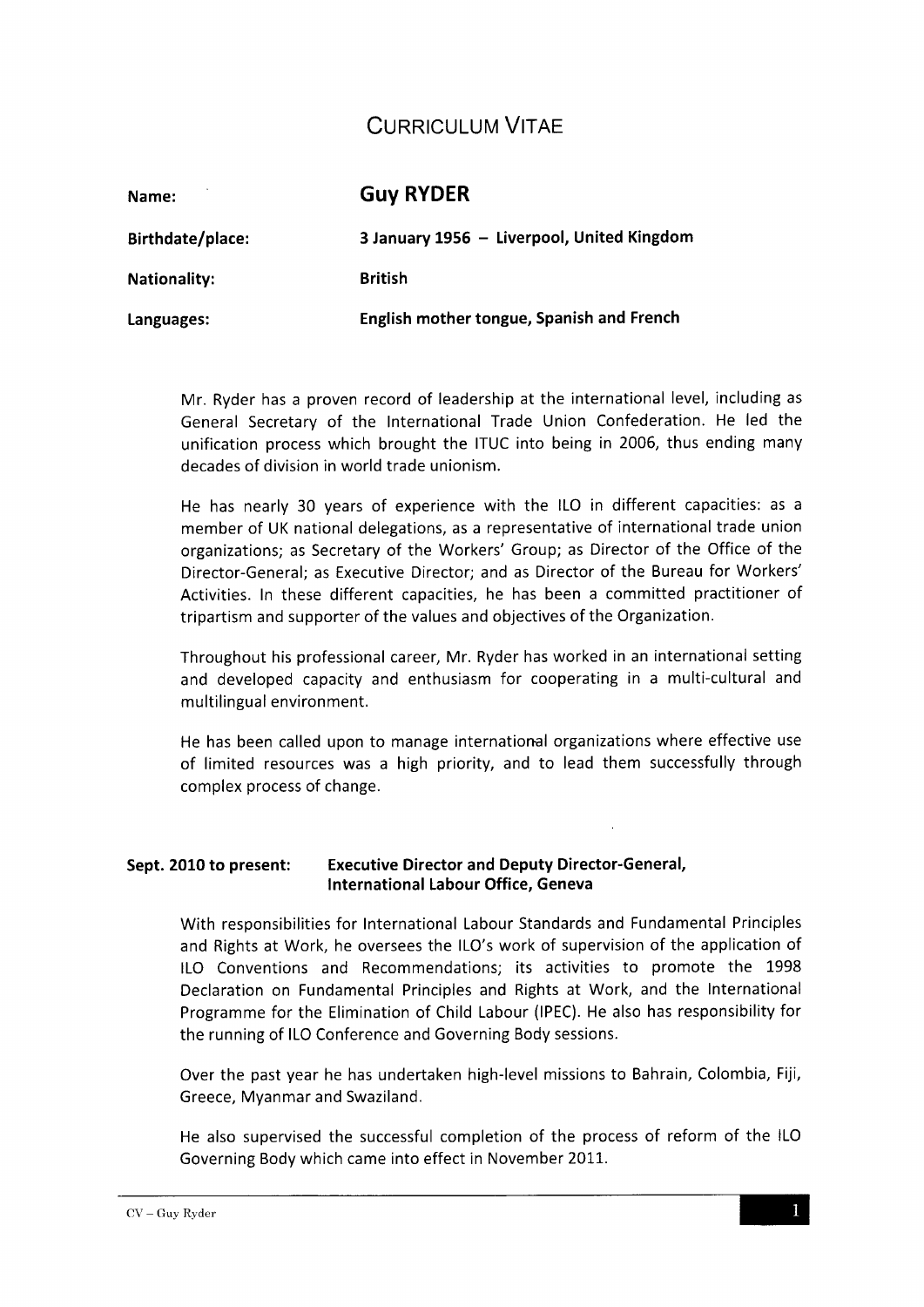# **CURRICULUM VITAE**

| Name:               | <b>Guy RYDER</b>                           |
|---------------------|--------------------------------------------|
| Birthdate/place:    | 3 January 1956 - Liverpool, United Kingdom |
| <b>Nationality:</b> | <b>British</b>                             |
| Languages:          | English mother tongue, Spanish and French  |

Mr. Ryder has a proven record of leadership at the international level, including as General Secretary of the International Trade Union Confederation. He led the unification process which brought the ITUC into being in 2006, thus ending many decades of division in world trade unionism.

He has nearly 30 years of experience with the ILO in different capacities: as a member of UK national delegations, as a representative of international trade union organizations; as Secretary of the Workers' Group; as Director of the Office of the Director-General; as Executive Director; and as Director of the Bureau for Workers' Activities. In these different capacities, he has been a committed practitioner of tripartism and supporter of the values and objectives of the Organization.

Throughout his professional career, Mr. Ryder has worked in an international setting and developed capacity and enthusiasm for cooperating in a multi-cultural and multilingual environment.

He has been called upon to manage international organizations where effective use of limited resources was a high priority, and to lead them successfully through complex process of change.

#### Sept. 2010 to present: Executive Director and Deputy Director-General, International Labour Office, Geneva

With responsibilities for International Labour Standards and Fundamental Principles and Rights at Work, he oversees the ILO's work of supervision of the application of ILO Conventions and Recommendations; its activities to promote the 1998 Declaration on Fundamental Principles and Rights at Work, and the International Programme for the Elimination of Child Labour (IPEC). He also has responsibility for the running of ILO Conference and Governing Body sessions.

Over the past year he has undertaken high-level missions to Bahrain, Colombia, Fiji, Greece, Myanmar and Swaziland.

He also supervised the successful completion of the process of reform of the ILO Governing Body which came into effect in November 2011.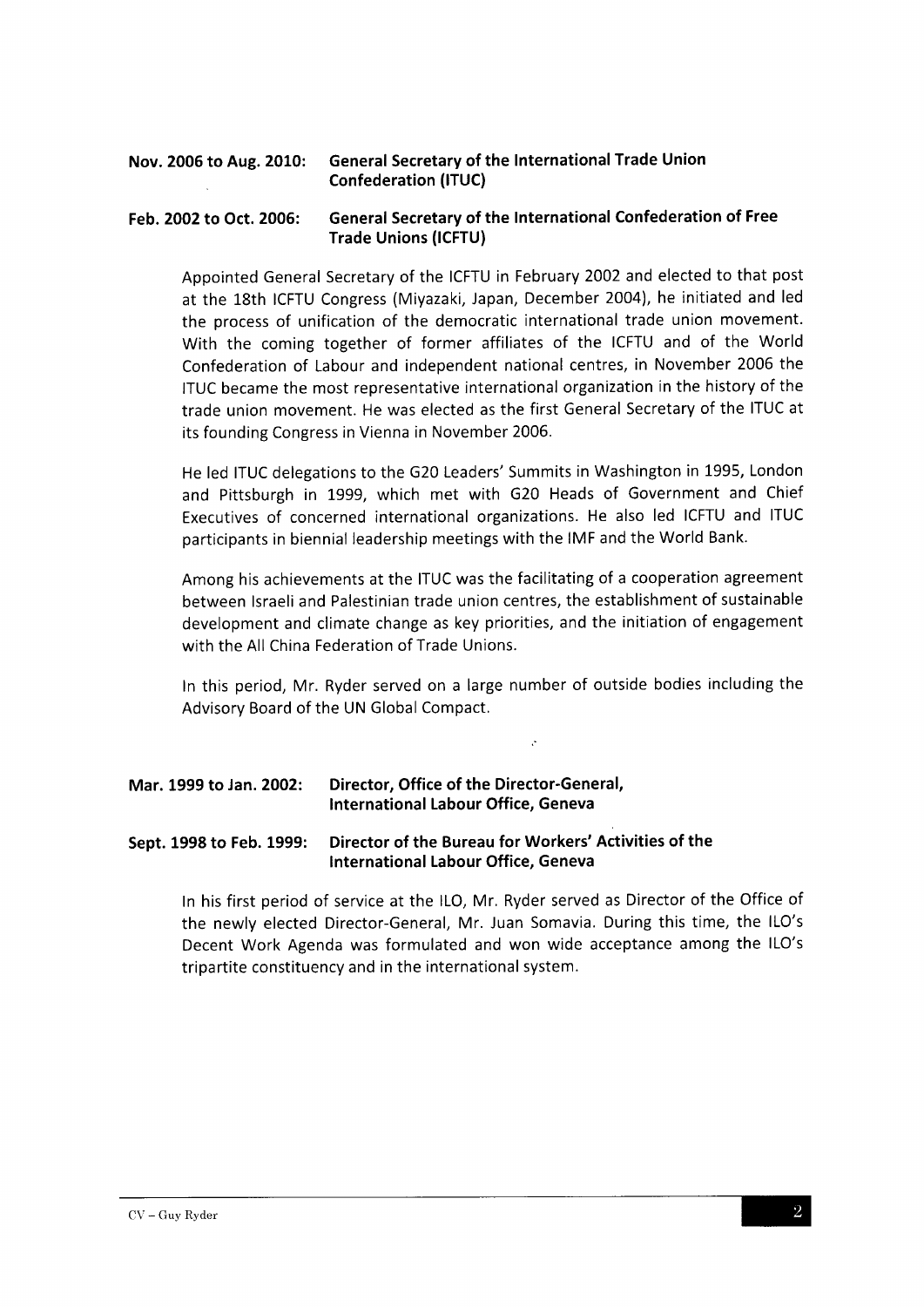## Nov. 2006 to Aug. 2010: General Secretary of the International Trade Union Confederation (ITUC)

### Feb. 2002 to Oct. 2005: General Secretary of the International Confederation of Free Trade Unions (ICFTU)

Appointed General Secretary of the ICFTU in February 2002 and elected to that post at the 18th ICFTU Congress (Miyazaki, Japan, December 2004), he initiated and led the process of unification of the democratic international trade union movement. With the coming together of former affiliates of the ICFTU and of the World Confederation of Labour and independent national centres, in November 2006 the ITUC became the most representative international organization in the history of the trade union movement. He was elected as the first General Secretary of the ITUC at its founding Congress in Vienna in November 2006.

He led ITUC delegations to the G20 Leaders' Summits in Washington in 1995, London and Pittsburgh in 1999, which met with G20 Heads of Government and Chief Executives of concerned international organizations. He also led ICFTU and ITUC participants in biennial leadership meetings with the IMF and the World Bank.

Among his achievements at the ITUC was the facilitating of a cooperation agreement between lsraeli and Palestinian trade union centres, the establishment of sustainable development and climate change as key priorities, and the initiation of engagement with the All China Federation of Trade Unions.

In this period, Mr. Ryder served on a large number of outside bodies including the Advisory Board of the UN Global Compact.

 $\cdot$ 

### Mar. 1999 to Jan. 2002: Director, Office of the Director-General, lnternational Labour Office, Geneva

### Sept. 1998 to Feb. 1999: Director of the Bureau for Workers' Activities of the lnternational Labour Office, Geneva

In his first period of service at the lLO, Mr. Ryder served as Director of the Office of the newly elected Director-General, Mr.Juan Somavia. During this time, the ILO's Decent Work Agenda was formulated and won wide acceptance among the ILO's tripartite constituency and in the international system.